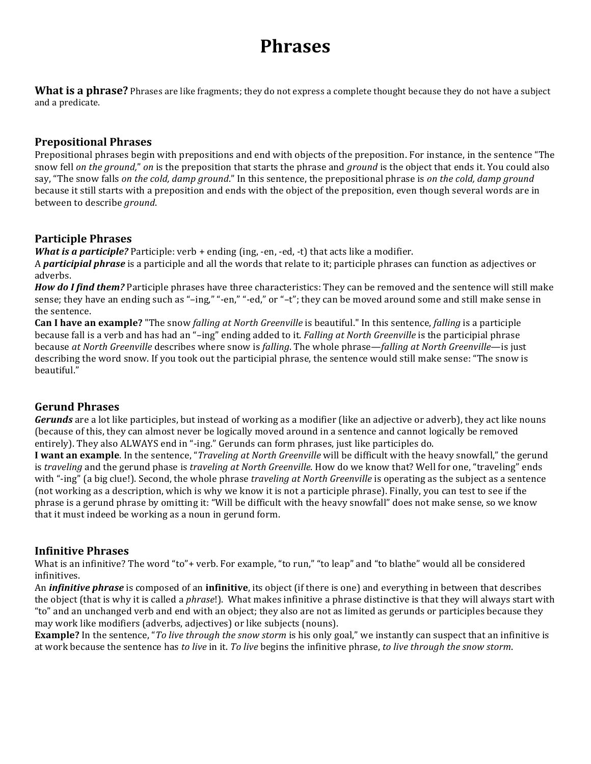# **Phrases**

**What is a phrase?** Phrases are like fragments; they do not express a complete thought because they do not have a subject and a predicate.

## **Prepositional'Phrases**

Prepositional phrases begin with prepositions and end with objects of the preposition. For instance, in the sentence "The snow fell *on the ground*," *on* is the preposition that starts the phrase and *ground* is the object that ends it. You could also say, "The snow falls *on the cold, damp ground*." In this sentence, the prepositional phrase is *on the cold, damp ground* because it still starts with a preposition and ends with the object of the preposition, even though several words are in between to describe *ground*.

## **Participle'Phrases**

*What is a participle?* Participle: verb + ending (ing, -en, -ed, -t) that acts like a modifier.

A *participial phrase* is a participle and all the words that relate to it; participle phrases can function as adjectives or adverbs.

*How do I find them?* Participle phrases have three characteristics: They can be removed and the sentence will still make sense; they have an ending such as "-ing," "-en," "-ed," or "-t"; they can be moved around some and still make sense in the sentence.

**Can I have an example?** "The snow *falling at North Greenville* is beautiful." In this sentence, *falling* is a participle because fall is a verb and has had an "–ing" ending added to it. *Falling at North Greenville* is the participial phrase because at North Greenville describes where snow is *falling*. The whole phrase—*falling at North Greenville*—is just describing the word snow. If you took out the participial phrase, the sentence would still make sense: "The snow is beautiful."

# **Gerund'Phrases**

**Gerunds** are a lot like participles, but instead of working as a modifier (like an adjective or adverb), they act like nouns (because of this, they can almost never be logically moved around in a sentence and cannot logically be removed entirely). They also ALWAYS end in "-ing." Gerunds can form phrases, just like participles do.

**I want an example**. In the sentence, "*Traveling at North Greenville* will be difficult with the heavy snowfall," the gerund is *traveling* and the gerund phase is *traveling at North Greenville*. How do we know that? Well for one, "traveling" ends with "-ing" (a big clue!). Second, the whole phrase *traveling at North Greenville* is operating as the subject as a sentence (not working as a description, which is why we know it is not a participle phrase). Finally, you can test to see if the phrase is a gerund phrase by omitting it: "Will be difficult with the heavy snowfall" does not make sense, so we know that it must indeed be working as a noun in gerund form.

# **Infinitive'Phrases**

What is an infinitive? The word "to"+ verb. For example, "to run," "to leap" and "to blathe" would all be considered infinitives.

An *infinitive phrase* is composed of an *infinitive*, its object (if there is one) and everything in between that describes the object (that is why it is called a *phrase*!). What makes infinitive a phrase distinctive is that they will always start with "to" and an unchanged verb and end with an object; they also are not as limited as gerunds or participles because they may work like modifiers (adverbs, adjectives) or like subjects (nouns).

**Example?** In the sentence, "*To live through the snow storm* is his only goal," we instantly can suspect that an infinitive is at work because the sentence has *to live* in it. *To live* begins the infinitive phrase, *to live through the snow storm*.